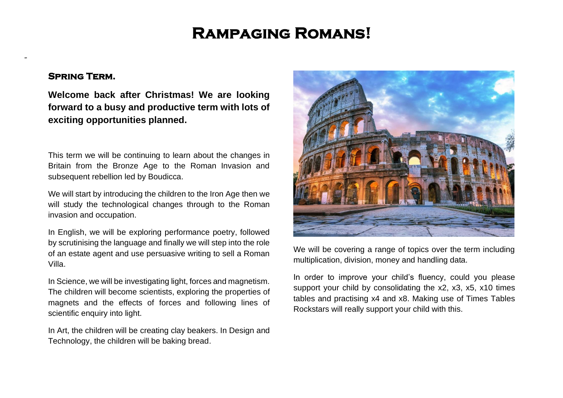# **Rampaging Romans!**

## **Spring Term.**

-

**Welcome back after Christmas! We are looking forward to a busy and productive term with lots of exciting opportunities planned.** 

This term we will be continuing to learn about the changes in Britain from the Bronze Age to the Roman Invasion and subsequent rebellion led by Boudicca.

We will start by introducing the children to the Iron Age then we will study the technological changes through to the Roman invasion and occupation.

In English, we will be exploring performance poetry, followed by scrutinising the language and finally we will step into the role of an estate agent and use persuasive writing to sell a Roman Villa.

In Science, we will be investigating light, forces and magnetism. The children will become scientists, exploring the properties of magnets and the effects of forces and following lines of scientific enquiry into light.

In Art, the children will be creating clay beakers. In Design and Technology, the children will be baking bread.



We will be covering a range of topics over the term including multiplication, division, money and handling data.

In order to improve your child's fluency, could you please support your child by consolidating the x2, x3, x5, x10 times tables and practising x4 and x8. Making use of Times Tables Rockstars will really support your child with this.